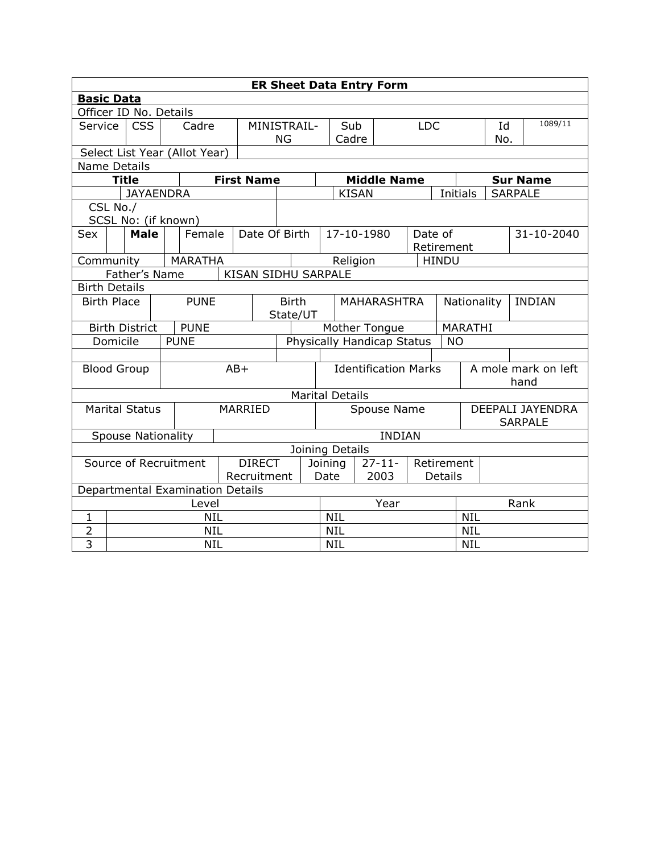| <b>ER Sheet Data Entry Form</b>        |                                              |                       |  |                                                |             |                                         |                                      |            |                              |              |                    |                                    |                             |                 |  |                |  |
|----------------------------------------|----------------------------------------------|-----------------------|--|------------------------------------------------|-------------|-----------------------------------------|--------------------------------------|------------|------------------------------|--------------|--------------------|------------------------------------|-----------------------------|-----------------|--|----------------|--|
|                                        | <b>Basic Data</b>                            |                       |  |                                                |             |                                         |                                      |            |                              |              |                    |                                    |                             |                 |  |                |  |
| Officer ID No. Details                 |                                              |                       |  |                                                |             |                                         |                                      |            |                              |              |                    |                                    |                             |                 |  |                |  |
| Service                                | <b>CSS</b><br>Cadre                          |                       |  |                                                | MINISTRAIL- |                                         |                                      | Sub        |                              |              | <b>LDC</b>         |                                    |                             | Id              |  | 1089/11        |  |
|                                        |                                              |                       |  |                                                |             | ΝG                                      |                                      | Cadre      |                              |              |                    |                                    |                             | No.             |  |                |  |
|                                        | Select List Year (Allot Year)                |                       |  |                                                |             |                                         |                                      |            |                              |              |                    |                                    |                             |                 |  |                |  |
|                                        | <b>Name Details</b>                          |                       |  |                                                |             |                                         |                                      |            |                              |              |                    |                                    |                             |                 |  |                |  |
|                                        |                                              | <b>Title</b>          |  |                                                |             | <b>First Name</b>                       |                                      |            |                              |              | <b>Middle Name</b> |                                    |                             | <b>Sur Name</b> |  |                |  |
|                                        |                                              | <b>JAYAENDRA</b>      |  |                                                |             |                                         |                                      |            |                              | <b>KISAN</b> |                    |                                    | <b>Initials</b>             |                 |  | <b>SARPALE</b> |  |
| CSL No./                               |                                              |                       |  | SCSL No: (if known)                            |             |                                         |                                      |            |                              |              |                    |                                    |                             |                 |  |                |  |
| Sex                                    |                                              | <b>Male</b>           |  | Female                                         |             | Date Of Birth                           |                                      |            | 17-10-1980                   |              |                    | Date of                            |                             |                 |  | 31-10-2040     |  |
|                                        |                                              |                       |  |                                                |             |                                         |                                      |            |                              |              |                    |                                    | Retirement                  |                 |  |                |  |
| Community                              |                                              |                       |  | <b>MARATHA</b>                                 |             |                                         |                                      |            | Religion                     |              |                    |                                    | <b>HINDU</b>                |                 |  |                |  |
| Father's Name                          |                                              |                       |  |                                                |             | KISAN SIDHU SARPALE                     |                                      |            |                              |              |                    |                                    |                             |                 |  |                |  |
|                                        | <b>Birth Details</b>                         |                       |  |                                                |             |                                         |                                      |            |                              |              |                    |                                    |                             |                 |  |                |  |
| <b>PUNE</b><br><b>Birth Place</b>      |                                              |                       |  | <b>Birth</b><br><b>MAHARASHTRA</b><br>State/UT |             |                                         |                                      |            | <b>INDIAN</b><br>Nationality |              |                    |                                    |                             |                 |  |                |  |
|                                        |                                              | <b>Birth District</b> |  | <b>PUNE</b>                                    |             |                                         |                                      |            | Mother Tongue                |              |                    |                                    |                             | MARATHI         |  |                |  |
| Domicile                               |                                              |                       |  | <b>PUNE</b>                                    |             | Physically Handicap Status<br><b>NO</b> |                                      |            |                              |              |                    |                                    |                             |                 |  |                |  |
|                                        |                                              |                       |  |                                                |             |                                         |                                      |            |                              |              |                    |                                    |                             |                 |  |                |  |
| <b>Blood Group</b>                     |                                              |                       |  |                                                | $AB+$       |                                         | <b>Identification Marks</b>          |            |                              |              |                    |                                    | A mole mark on left<br>hand |                 |  |                |  |
|                                        |                                              |                       |  |                                                |             |                                         |                                      |            | <b>Marital Details</b>       |              |                    |                                    |                             |                 |  |                |  |
|                                        |                                              | <b>Marital Status</b> |  |                                                |             | MARRIED<br>Spouse Name                  |                                      |            |                              |              |                    | DEEPALI JAYENDRA<br><b>SARPALE</b> |                             |                 |  |                |  |
|                                        |                                              |                       |  |                                                |             |                                         |                                      |            | <b>INDIAN</b>                |              |                    |                                    |                             |                 |  |                |  |
|                                        | <b>Spouse Nationality</b><br>Joining Details |                       |  |                                                |             |                                         |                                      |            |                              |              |                    |                                    |                             |                 |  |                |  |
| Source of Recruitment<br><b>DIRECT</b> |                                              |                       |  |                                                |             |                                         | $27 - 11 -$<br>Retirement<br>Joining |            |                              |              |                    |                                    |                             |                 |  |                |  |
| Recruitment                            |                                              |                       |  |                                                |             |                                         | 2003<br>Date<br><b>Details</b>       |            |                              |              |                    |                                    |                             |                 |  |                |  |
|                                        |                                              |                       |  | Departmental Examination Details               |             |                                         |                                      |            |                              |              |                    |                                    |                             |                 |  |                |  |
|                                        | Level                                        |                       |  |                                                |             |                                         |                                      | Year       |                              |              |                    | Rank                               |                             |                 |  |                |  |
| 1                                      | <b>NIL</b>                                   |                       |  |                                                |             |                                         |                                      | <b>NIL</b> |                              |              |                    | <b>NIL</b>                         |                             |                 |  |                |  |
| $\overline{2}$                         | <b>NIL</b>                                   |                       |  |                                                |             |                                         |                                      | <b>NIL</b> |                              |              |                    | <b>NIL</b>                         |                             |                 |  |                |  |
| $\overline{3}$                         | <b>NIL</b>                                   |                       |  |                                                |             |                                         |                                      | <b>NIL</b> |                              |              |                    |                                    | <b>NIL</b>                  |                 |  |                |  |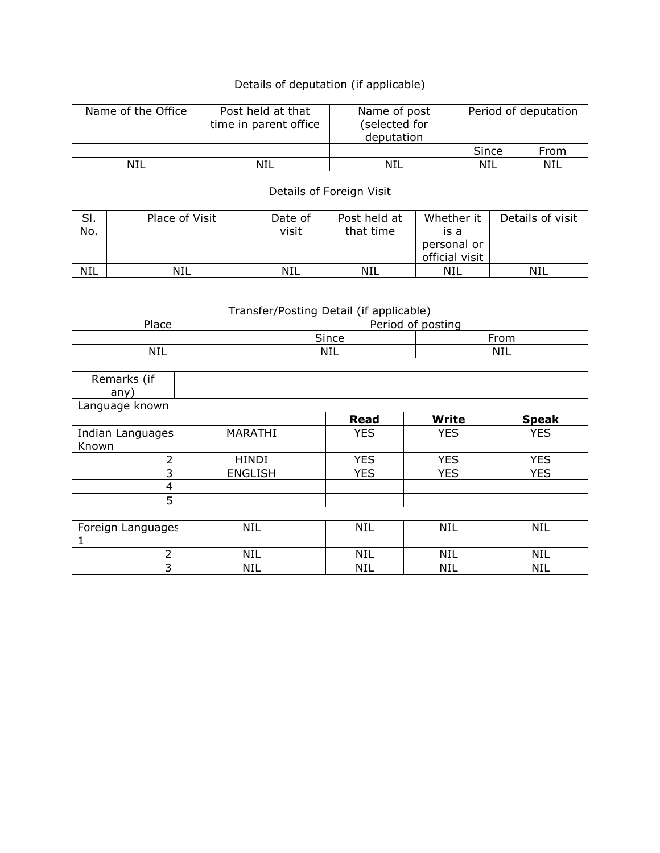## Details of deputation (if applicable)

| Name of the Office | Post held at that<br>time in parent office | Name of post<br>(selected for<br>deputation | Period of deputation |      |  |  |
|--------------------|--------------------------------------------|---------------------------------------------|----------------------|------|--|--|
|                    |                                            |                                             | Since                | From |  |  |
| NIL                | NIL                                        | NIL                                         | NIL                  | NIL  |  |  |

## Details of Foreign Visit

| SI.<br>No. | Place of Visit | Date of<br>visit | Post held at<br>that time | Whether it<br>is a<br>personal or<br>official visit | Details of visit |
|------------|----------------|------------------|---------------------------|-----------------------------------------------------|------------------|
| <b>NIL</b> | NIL            | NIL              | NIL                       | NIL                                                 | NIL              |

## Transfer/Posting Detail (if applicable)

| ାace | ∩f<br>Period<br>posting<br>U. |          |  |  |  |  |  |
|------|-------------------------------|----------|--|--|--|--|--|
|      | Since                         | From     |  |  |  |  |  |
| NIL  | <b>NIL</b>                    | N1'<br>. |  |  |  |  |  |

| Remarks (if<br>any)       |                |             |              |              |
|---------------------------|----------------|-------------|--------------|--------------|
| Language known            |                |             |              |              |
|                           |                | <b>Read</b> | <b>Write</b> | <b>Speak</b> |
| Indian Languages<br>Known | MARATHI        | <b>YES</b>  | <b>YES</b>   | <b>YES</b>   |
| $\overline{2}$            | HINDI          | <b>YES</b>  | <b>YES</b>   | <b>YES</b>   |
| 3                         | <b>ENGLISH</b> | <b>YES</b>  | <b>YES</b>   | <b>YES</b>   |
| 4                         |                |             |              |              |
| 5                         |                |             |              |              |
|                           |                |             |              |              |
| Foreign Languages         | <b>NIL</b>     | <b>NIL</b>  | <b>NIL</b>   | <b>NIL</b>   |
|                           |                |             |              |              |
| 2                         | NIL            | <b>NIL</b>  | <b>NIL</b>   | <b>NIL</b>   |
| 3                         | <b>NIL</b>     | NIL         | <b>NIL</b>   | <b>NIL</b>   |